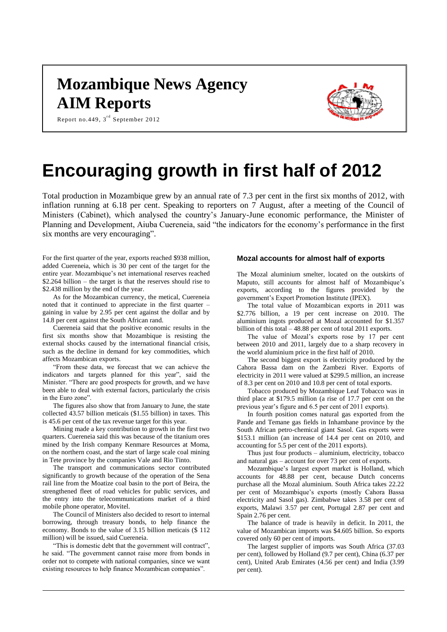# **Mozambique News Agency AIM Reports**



Report no.449,  $3^{\text{rd}}$  September 2012

# **Encouraging growth in first half of 2012**

Total production in Mozambique grew by an annual rate of 7.3 per cent in the first six months of 2012, with inflation running at 6.18 per cent. Speaking to reporters on 7 August, after a meeting of the Council of Ministers (Cabinet), which analysed the country's January-June economic performance, the Minister of Planning and Development, Aiuba Cuereneia, said "the indicators for the economy's performance in the first six months are very encouraging".

For the first quarter of the year, exports reached \$938 million, added Cuereneia, which is 30 per cent of the target for the entire year. Mozambique's net international reserves reached \$2.264 billion – the target is that the reserves should rise to \$2.438 million by the end of the year.

As for the Mozambican currency, the metical, Cuereneia noted that it continued to appreciate in the first quarter – gaining in value by 2.95 per cent against the dollar and by 14.8 per cent against the South African rand.

Cuereneia said that the positive economic results in the first six months show that Mozambique is resisting the external shocks caused by the international financial crisis, such as the decline in demand for key commodities, which affects Mozambican exports.

"From these data, we forecast that we can achieve the indicators and targets planned for this year", said the Minister. "There are good prospects for growth, and we have been able to deal with external factors, particularly the crisis in the Euro zone".

The figures also show that from January to June, the state collected 43.57 billion meticais (\$1.55 billion) in taxes. This is 45.6 per cent of the tax revenue target for this year.

Mining made a key contribution to growth in the first two quarters. Cuereneia said this was because of the titanium ores mined by the Irish company Kenmare Resources at Moma, on the northern coast, and the start of large scale coal mining in Tete province by the companies Vale and Rio Tinto.

The transport and communications sector contributed significantly to growth because of the operation of the Sena rail line from the Moatize coal basin to the port of Beira, the strengthened fleet of road vehicles for public services, and the entry into the telecommunications market of a third mobile phone operator, Movitel.

The Council of Ministers also decided to resort to internal borrowing, through treasury bonds, to help finance the economy. Bonds to the value of 3.15 billion meticais (\$ 112 million) will be issued, said Cuereneia.

"This is domestic debt that the government will contract", he said. "The government cannot raise more from bonds in order not to compete with national companies, since we want existing resources to help finance Mozambican companies".

#### **Mozal accounts for almost half of exports**

The Mozal aluminium smelter, located on the outskirts of Maputo, still accounts for almost half of Mozambique's exports, according to the figures provided by the government's Export Promotion Institute (IPEX).

The total value of Mozambican exports in 2011 was \$2.776 billion, a 19 per cent increase on 2010. The aluminium ingots produced at Mozal accounted for \$1.357 billion of this total – 48.88 per cent of total 2011 exports.

The value of Mozal's exports rose by 17 per cent between 2010 and 2011, largely due to a sharp recovery in the world aluminium price in the first half of 2010.

The second biggest export is electricity produced by the Cahora Bassa dam on the Zambezi River. Exports of electricity in 2011 were valued at \$299.5 million, an increase of 8.3 per cent on 2010 and 10.8 per cent of total exports.

Tobacco produced by Mozambique Leaf Tobacco was in third place at \$179.5 million (a rise of 17.7 per cent on the previous year's figure and 6.5 per cent of 2011 exports).

In fourth position comes natural gas exported from the Pande and Temane gas fields in Inhambane province by the South African petro-chemical giant Sasol. Gas exports were \$153.1 million (an increase of 14.4 per cent on 2010, and accounting for 5.5 per cent of the 2011 exports).

Thus just four products – aluminium, electricity, tobacco and natural gas – account for over 73 per cent of exports.

Mozambique's largest export market is Holland, which accounts for 48.88 per cent, because Dutch concerns purchase all the Mozal aluminium. South Africa takes 22.22 per cent of Mozambique's exports (mostly Cahora Bassa electricity and Sasol gas). Zimbabwe takes 3.58 per cent of exports, Malawi 3.57 per cent, Portugal 2.87 per cent and Spain 2.76 per cent.

The balance of trade is heavily in deficit. In 2011, the value of Mozambican imports was \$4.605 billion. So exports covered only 60 per cent of imports.

The largest supplier of imports was South Africa (37.03 per cent), followed by Holland (9.7 per cent), China (6.37 per cent), United Arab Emirates (4.56 per cent) and India (3.99 per cent).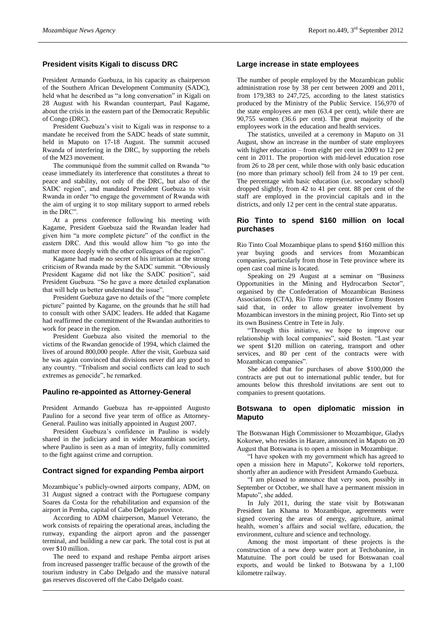# **President visits Kigali to discuss DRC**

President Armando Guebuza, in his capacity as chairperson of the Southern African Development Community (SADC), held what he described as "a long conversation" in Kigali on 28 August with his Rwandan counterpart, Paul Kagame, about the crisis in the eastern part of the Democratic Republic of Congo (DRC).

President Guebuza's visit to Kigali was in response to a mandate he received from the SADC heads of state summit, held in Maputo on 17-18 August. The summit accused Rwanda of interfering in the DRC, by supporting the rebels of the M23 movement.

The communiqué from the summit called on Rwanda "to cease immediately its interference that constitutes a threat to peace and stability, not only of the DRC, but also of the SADC region", and mandated President Guebuza to visit Rwanda in order "to engage the government of Rwanda with the aim of urging it to stop military support to armed rebels in the DRC".

At a press conference following his meeting with Kagame, President Guebuza said the Rwandan leader had given him "a more complete picture" of the conflict in the eastern DRC. And this would allow him "to go into the matter more deeply with the other colleagues of the region".

Kagame had made no secret of his irritation at the strong criticism of Rwanda made by the SADC summit. "Obviously President Kagame did not like the SADC position", said President Guebuza. "So he gave a more detailed explanation that will help us better understand the issue".

President Guebuza gave no details of the "more complete picture" painted by Kagame, on the grounds that he still had to consult with other SADC leaders. He added that Kagame had reaffirmed the commitment of the Rwandan authorities to work for peace in the region.

President Guebuza also visited the memorial to the victims of the Rwandan genocide of 1994, which claimed the lives of around 800,000 people. After the visit, Guebuza said he was again convinced that divisions never did any good to any country. "Tribalism and social conflicts can lead to such extremes as genocide", he remarked.

# **Paulino re-appointed as Attorney-General**

President Armando Guebuza has re-appointed Augusto Paulino for a second five year term of office as Attorney-General. Paulino was initially appointed in August 2007.

President Guebuza's confidence in Paulino is widely shared in the judiciary and in wider Mozambican society, where Paulino is seen as a man of integrity, fully committed to the fight against crime and corruption.

#### **Contract signed for expanding Pemba airport**

Mozambique's publicly-owned airports company, ADM, on 31 August signed a contract with the Portuguese company Soares da Costa for the rehabilitation and expansion of the airport in Pemba, capital of Cabo Delgado province.

According to ADM chairperson, Manuel Veterano, the work consists of repairing the operational areas, including the runway, expanding the airport apron and the passenger terminal, and building a new car park. The total cost is put at over \$10 million.

The need to expand and reshape Pemba airport arises from increased passenger traffic because of the growth of the tourism industry in Cabo Delgado and the massive natural gas reserves discovered off the Cabo Delgado coast.

# **Large increase in state employees**

The number of people employed by the Mozambican public administration rose by 38 per cent between 2009 and 2011, from 179,383 to 247,725, according to the latest statistics produced by the Ministry of the Public Service. 156,970 of the state employees are men (63.4 per cent), while there are 90,755 women (36.6 per cent). The great majority of the employees work in the education and health services.

The statistics, unveiled at a ceremony in Maputo on 31 August, show an increase in the number of state employees with higher education – from eight per cent in 2009 to 12 per cent in 2011. The proportion with mid-level education rose from 26 to 28 per cent, while those with only basic education (no more than primary school) fell from 24 to 19 per cent. The percentage with basic education (i.e. secondary school) dropped slightly, from 42 to 41 per cent. 88 per cent of the staff are employed in the provincial capitals and in the districts, and only 12 per cent in the central state apparatus.

# **Rio Tinto to spend \$160 million on local purchases**

Rio Tinto Coal Mozambique plans to spend \$160 million this year buying goods and services from Mozambican companies, particularly from those in Tete province where its open cast coal mine is located.

Speaking on 29 August at a seminar on "Business Opportunities in the Mining and Hydrocarbon Sector", organised by the Confederation of Mozambican Business Associations (CTA), Rio Tinto representative Emmy Bosten said that, in order to allow greater involvement by Mozambican investors in the mining project, Rio Tinto set up its own Business Centre in Tete in July.

"Through this initiative, we hope to improve our relationship with local companies", said Bosten. "Last year we spent \$120 million on catering, transport and other services, and 80 per cent of the contracts were with Mozambican companies".

She added that for purchases of above \$100,000 the contracts are put out to international public tender, but for amounts below this threshold invitations are sent out to companies to present quotations.

# **Botswana to open diplomatic mission in Maputo**

The Botswanan High Commissioner to Mozambique, Gladys Kokorwe, who resides in Harare, announced in Maputo on 20 August that Botswana is to open a mission in Mozambique.

"I have spoken with my government which has agreed to open a mission here in Maputo", Kokorwe told reporters, shortly after an audience with President Armando Guebuza.

"I am pleased to announce that very soon, possibly in September or October, we shall have a permanent mission in Maputo", she added.

In July 2011, during the state visit by Botswanan President Ian Khama to Mozambique, agreements were signed covering the areas of energy, agriculture, animal health, women's affairs and social welfare, education, the environment, culture and science and technology.

Among the most important of these projects is the construction of a new deep water port at Techobanine, in Matutuine. The port could be used for Botswanan coal exports, and would be linked to Botswana by a 1,100 kilometre railway.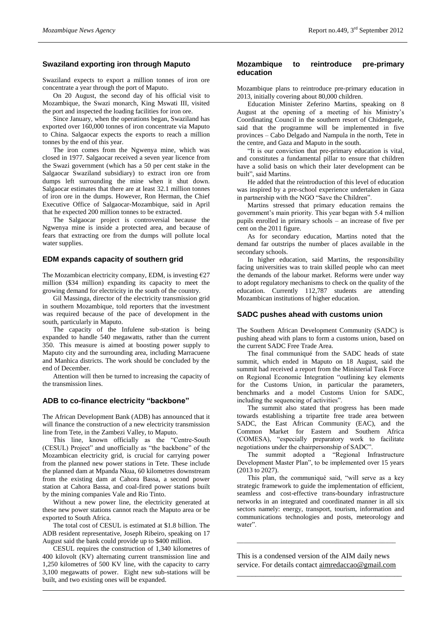# **Swaziland exporting iron through Maputo**

Swaziland expects to export a million tonnes of iron ore concentrate a year through the port of Maputo.

On 20 August, the second day of his official visit to Mozambique, the Swazi monarch, King Mswati III, visited the port and inspected the loading facilities for iron ore.

Since January, when the operations began, Swaziland has exported over 160,000 tonnes of iron concentrate via Maputo to China. Salgaocar expects the exports to reach a million tonnes by the end of this year.

The iron comes from the Ngwenya mine, which was closed in 1977. Salgaocar received a seven year licence from the Swazi government (which has a 50 per cent stake in the Salgaocar Swaziland subsidiary) to extract iron ore from dumps left surrounding the mine when it shut down. Salgaocar estimates that there are at least 32.1 million tonnes of iron ore in the dumps. However, Ron Herman, the Chief Executive Office of Salgaocar-Mozambique, said in April that he expected 200 million tonnes to be extracted.

The Salgaocar project is controversial because the Ngwenya mine is inside a protected area, and because of fears that extracting ore from the dumps will pollute local water supplies.

# **EDM expands capacity of southern grid**

The Mozambican electricity company, EDM, is investing  $E$ 27 million (\$34 million) expanding its capacity to meet the growing demand for electricity in the south of the country.

Gil Massinga, director of the electricity transmission grid in southern Mozambique, told reporters that the investment was required because of the pace of development in the south, particularly in Maputo.

The capacity of the Infulene sub-station is being expanded to handle 540 megawatts, rather than the current 350. This measure is aimed at boosting power supply to Maputo city and the surrounding area, including Marracuene and Manhica districts. The work should be concluded by the end of December.

Attention will then be turned to increasing the capacity of the transmission lines.

## **ADB to co-finance electricity "backbone"**

The African Development Bank (ADB) has announced that it will finance the construction of a new electricity transmission line from Tete, in the Zambezi Valley, to Maputo.

This line, known officially as the "Centre-South (CESUL) Project" and unofficially as "the backbone" of the Mozambican electricity grid, is crucial for carrying power from the planned new power stations in Tete. These include the planned dam at Mpanda Nkua, 60 kilometres downstream from the existing dam at Cahora Bassa, a second power station at Cahora Bassa, and coal-fired power stations built by the mining companies Vale and Rio Tinto.

Without a new power line, the electricity generated at these new power stations cannot reach the Maputo area or be exported to South Africa.

The total cost of CESUL is estimated at \$1.8 billion. The ADB resident representative, Joseph Ribeiro, speaking on 17 August said the bank could provide up to \$400 million.

CESUL requires the construction of 1,340 kilometres of 400 kilovolt (KV) alternating current transmission line and 1,250 kilometres of 500 KV line, with the capacity to carry 3,100 megawatts of power. Eight new sub-stations will be built, and two existing ones will be expanded.

# **Mozambique to reintroduce pre-primary education**

Mozambique plans to reintroduce pre-primary education in 2013, initially covering about 80,000 children.

Education Minister Zeferino Martins, speaking on 8 August at the opening of a meeting of his Ministry's Coordinating Council in the southern resort of Chidenguele, said that the programme will be implemented in five provinces – Cabo Delgado and Nampula in the north, Tete in the centre, and Gaza and Maputo in the south.

"It is our conviction that pre-primary education is vital, and constitutes a fundamental pillar to ensure that children have a solid basis on which their later development can be built", said Martins.

He added that the reintroduction of this level of education was inspired by a pre-school experience undertaken in Gaza in partnership with the NGO "Save the Children".

Martins stressed that primary education remains the government's main priority. This year began with 5.4 million pupils enrolled in primary schools – an increase of five per cent on the 2011 figure.

As for secondary education, Martins noted that the demand far outstrips the number of places available in the secondary schools.

In higher education, said Martins, the responsibility facing universities was to train skilled people who can meet the demands of the labour market. Reforms were under way to adopt regulatory mechanisms to check on the quality of the education. Currently 112,787 students are attending Mozambican institutions of higher education.

#### **SADC pushes ahead with customs union**

The Southern African Development Community (SADC) is pushing ahead with plans to form a customs union, based on the current SADC Free Trade Area.

The final communiqué from the SADC heads of state summit, which ended in Maputo on 18 August, said the summit had received a report from the Ministerial Task Force on Regional Economic Integration "outlining key elements for the Customs Union, in particular the parameters, benchmarks and a model Customs Union for SADC, including the sequencing of activities".

The summit also stated that progress has been made towards establishing a tripartite free trade area between SADC, the East African Community (EAC), and the Common Market for Eastern and Southern Africa (COMESA), "especially preparatory work to facilitate negotiations under the chairpersonship of SADC".

The summit adopted a "Regional Infrastructure Development Master Plan", to be implemented over 15 years (2013 to 2027).

This plan, the communiqué said, "will serve as a key strategic framework to guide the implementation of efficient, seamless and cost-effective trans-boundary infrastructure networks in an integrated and coordinated manner in all six sectors namely: energy, transport, tourism, information and communications technologies and posts, meteorology and water".

This is a condensed version of the AIM daily news service. For details contact [aimredaccao@gmail.com](mailto:aimredaccao@gmail.com) \_\_\_\_\_\_\_\_\_\_\_\_\_\_\_\_\_\_\_\_\_\_\_\_\_\_\_\_\_\_\_\_\_\_\_\_\_\_\_\_\_\_\_\_

\_\_\_\_\_\_\_\_\_\_\_\_\_\_\_\_\_\_\_\_\_\_\_\_\_\_\_\_\_\_\_\_\_\_\_\_\_\_\_\_\_\_\_\_\_\_\_